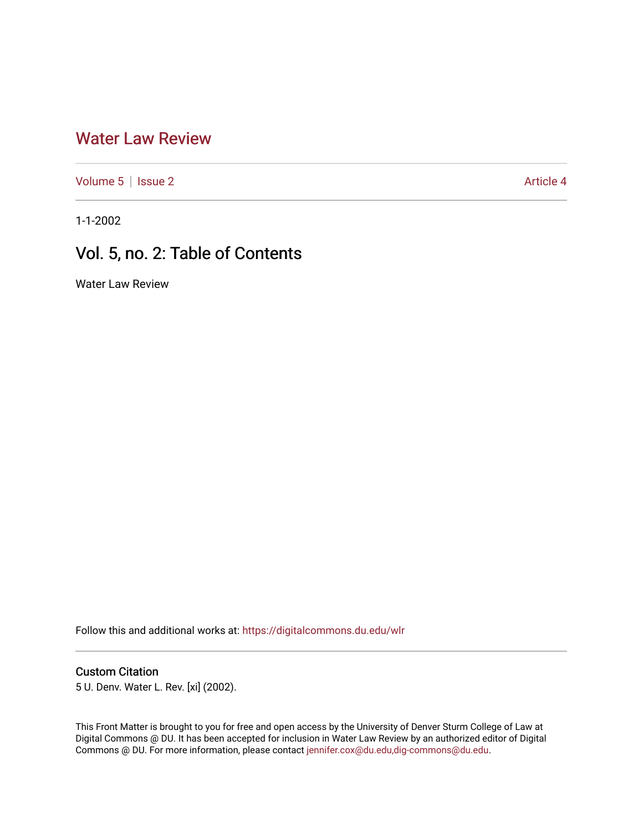## [Water Law Review](https://digitalcommons.du.edu/wlr)

[Volume 5](https://digitalcommons.du.edu/wlr/vol5) | [Issue 2](https://digitalcommons.du.edu/wlr/vol5/iss2) Article 4

1-1-2002

# Vol. 5, no. 2: Table of Contents

Water Law Review

Follow this and additional works at: [https://digitalcommons.du.edu/wlr](https://digitalcommons.du.edu/wlr?utm_source=digitalcommons.du.edu%2Fwlr%2Fvol5%2Fiss2%2F4&utm_medium=PDF&utm_campaign=PDFCoverPages) 

#### Custom Citation

5 U. Denv. Water L. Rev. [xi] (2002).

This Front Matter is brought to you for free and open access by the University of Denver Sturm College of Law at Digital Commons @ DU. It has been accepted for inclusion in Water Law Review by an authorized editor of Digital Commons @ DU. For more information, please contact [jennifer.cox@du.edu,dig-commons@du.edu.](mailto:jennifer.cox@du.edu,dig-commons@du.edu)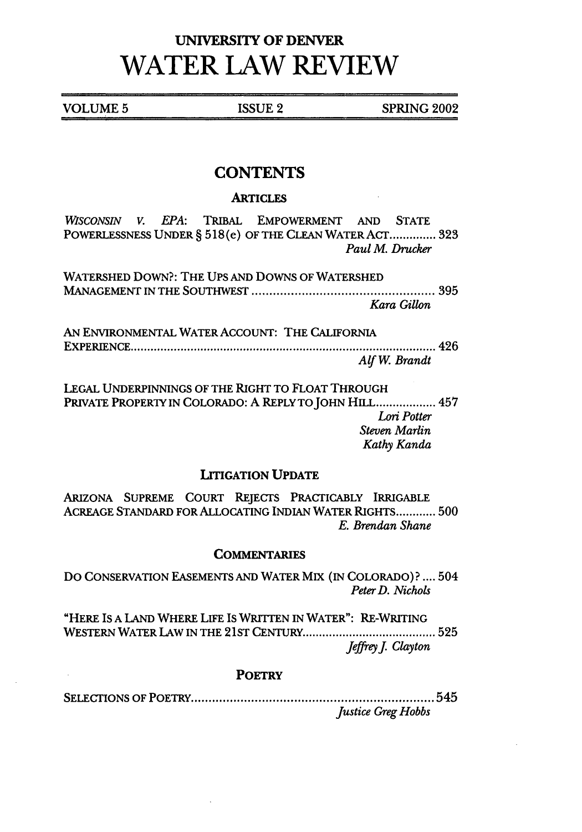## **UNIVERSITY OF DENVER WATER LAW REVIEW**

**VOLUME 5 ISSUE 2 SPRING 2002** 

## **CONTENTS**

#### **ARTICLES**

*WISCONSIN V. EPA: TRIBAL* EMPOWERMENT **AND STATE** POWERLESSNESS UNDER § 518(e) OF THE CLEAN WATER ACT **..............** 323 *Paul M. Drucker*

WATERSHED DOWN?: THE UPS AND DOWNS OF WATERSHED MANAGEMENT IN THE SOUTHWEST ................................................... 395 *Kara Gillon*

AN ENVIRONMENTAL WATER ACCOUNT: THE CALIFORNIA EXPERIEN CE ............................................................................................ 426 AfW. *Brandt*

LEGAL UNDERPINNINGS OF THE RIGHT TO FLOAT THROUGH PRIVATE PROPERTY IN COLORADO: A REPLY TO JOHN HILL .................. 457 *Lori Potter Steven Marlin Kathy Kanda*

#### LITIGATION **UPDATE**

ARIZONA **SUPREME COURT** REJECTS PRACTICABLY IRRIGABLE ACREAGE STANDARD FOR ALLOCATING INDIAN WATER RIGHTS **............ 500** *E. Brendan Shane*

#### **COMMENTARIES**

DO CONSERVATION EASEMENTS AND WATER MIX (IN COLORADO)? **....** 504 *Peter D. Nichols*

"HERE IS A LAND WHERE **LIFE IS** WRITTEN IN WATER": RE-WRITING WESTERN WATER LAW **IN** THE 21ST **CENTURY ....................................... 525** *JeffreyJ. Clayton*

#### **POETRY**

SELECT IONS OF POETRY .................................................................... 545 *Justice Greg Hobbs*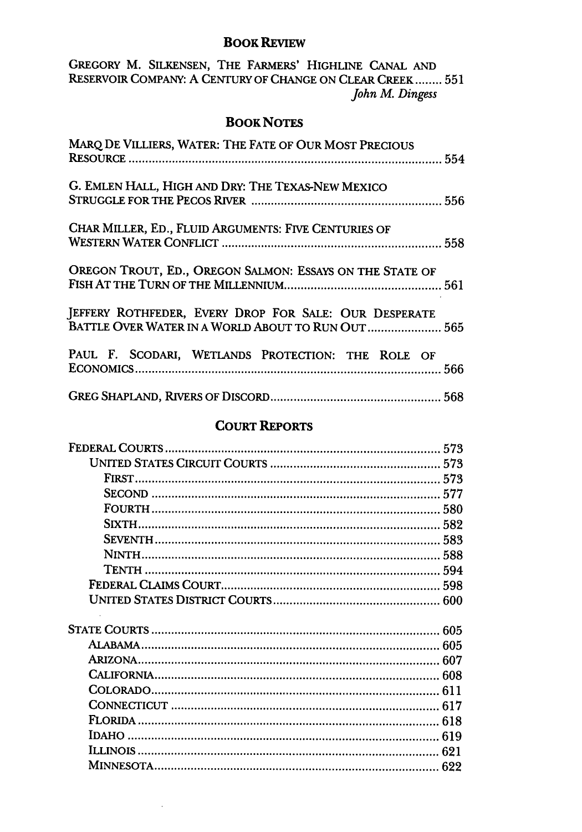#### **BOOK REVIEW**

GREGORY M. SILKENSEN, THE FARMERS' HIGHLINE CANAL AND<br>RESERVOIR COMPANY: A CENTURY OF CHANGE ON CLEAR CREEK ........ 551<br>John M. Dingess

### **BOOK NOTES**

| MARQ DE VILLIERS, WATER: THE FATE OF OUR MOST PRECIOUS                                                      |  |
|-------------------------------------------------------------------------------------------------------------|--|
| G. EMLEN HALL, HIGH AND DRY: THE TEXAS-NEW MEXICO                                                           |  |
| CHAR MILLER, ED., FLUID ARGUMENTS: FIVE CENTURIES OF                                                        |  |
| OREGON TROUT, ED., OREGON SALMON: ESSAYS ON THE STATE OF                                                    |  |
| JEFFERY ROTHFEDER, EVERY DROP FOR SALE: OUR DESPERATE<br>BATTLE OVER WATER IN A WORLD ABOUT TO RUN OUT  565 |  |
| PAUL F. SCODARI, WETLANDS PROTECTION: THE ROLE OF                                                           |  |
|                                                                                                             |  |

## **COURT REPORTS**

|              | 573 |
|--------------|-----|
|              |     |
|              |     |
|              |     |
|              |     |
|              |     |
|              |     |
| <b>NINTH</b> |     |
|              |     |
|              |     |
|              |     |
|              |     |
| ALABAMA.     |     |
| ARIZONA.     |     |
|              |     |
|              |     |
|              |     |
|              |     |
|              |     |
|              |     |
|              |     |

 $\ddot{\phantom{a}}$